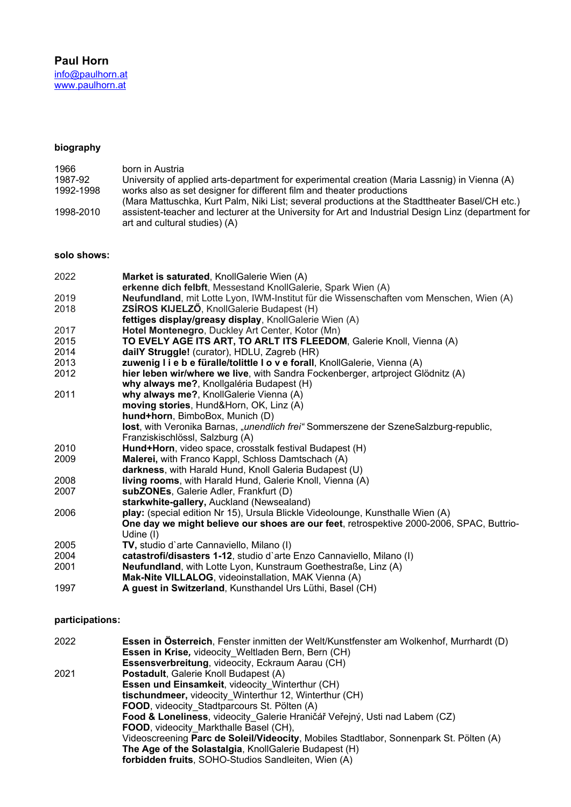#### **biography** 1966 born in Austria the community of applied arts-department for experimental creation (Maria Lassnig) in  $\mathcal{M}$  and  $\mathcal{M}$

| 1966      | born in Austria                                                                                                                      |
|-----------|--------------------------------------------------------------------------------------------------------------------------------------|
| 1987-92   | University of applied arts-department for experimental creation (Maria Lassnig) in Vienna (A)                                        |
| 1992-1998 | works also as set designer for different film and theater productions                                                                |
|           | (Mara Mattuschka, Kurt Palm, Niki List; several productions at the Stadttheater Basel/CH etc.)                                       |
| 1998-2010 | assistent-teacher and lecturer at the University for Art and Industrial Design Linz (department for<br>art and cultural studies) (A) |

#### **solo shows:** 2022 **Market is saturated**, KnollGalerie Wien (A)

| 2022 | Market is saturated, KnollGalerie Wien (A)                                               |
|------|------------------------------------------------------------------------------------------|
|      | erkenne dich felbft, Messestand KnollGalerie, Spark Wien (A)                             |
| 2019 | Neufundland, mit Lotte Lyon, IWM-Institut für die Wissenschaften vom Menschen, Wien (A)  |
| 2018 | ZSÍROS KIJELZŐ, KnollGalerie Budapest (H)                                                |
|      | fettiges display/greasy display, KnollGalerie Wien (A)                                   |
| 2017 | Hotel Montenegro, Duckley Art Center, Kotor (Mn)                                         |
| 2015 | TO EVELY AGE ITS ART, TO ARLT ITS FLEEDOM, Galerie Knoll, Vienna (A)                     |
| 2014 | dailY Struggle! (curator), HDLU, Zagreb (HR)                                             |
| 2013 | zuwenig I i e b e füralle/tolittle I o v e forall, KnollGalerie, Vienna (A)              |
| 2012 | hier leben wir/where we live, with Sandra Fockenberger, artproject Glödnitz (A)          |
|      | why always me?, Knollgaléria Budapest (H)                                                |
| 2011 | why always me?, KnollGalerie Vienna (A)                                                  |
|      | moving stories, Hund&Horn, OK, Linz (A)                                                  |
|      | hund+horn, BimboBox, Munich (D)                                                          |
|      | lost, with Veronika Barnas, "unendlich frei" Sommerszene der SzeneSalzburg-republic,     |
|      | Franziskischlössl, Salzburg (A)                                                          |
| 2010 | Hund+Horn, video space, crosstalk festival Budapest (H)                                  |
| 2009 | Malerei, with Franco Kappl, Schloss Damtschach (A)                                       |
|      | darkness, with Harald Hund, Knoll Galeria Budapest (U)                                   |
| 2008 | <b>living rooms</b> , with Harald Hund, Galerie Knoll, Vienna (A)                        |
| 2007 | subZONEs, Galerie Adler, Frankfurt (D)                                                   |
|      | starkwhite-gallery, Auckland (Newsealand)                                                |
| 2006 | play: (special edition Nr 15), Ursula Blickle Videolounge, Kunsthalle Wien (A)           |
|      | One day we might believe our shoes are our feet, retrospektive 2000-2006, SPAC, Buttrio- |
|      | Udine (I)                                                                                |
| 2005 | TV, studio d'arte Cannaviello, Milano (I)                                                |
| 2004 | catastrofi/disasters 1-12, studio d'arte Enzo Cannaviello, Milano (I)                    |
| 2001 | Neufundland, with Lotte Lyon, Kunstraum Goethestraße, Linz (A)                           |
|      | Mak-Nite VILLALOG, videoinstallation, MAK Vienna (A)                                     |
| 1997 | A guest in Switzerland, Kunsthandel Urs Lüthi, Basel (CH)                                |
|      |                                                                                          |

### **participations:** 2022 **Essen in Österreich**, Fenster inmitten der Welt/Kunstfenster am Wolkenhof, Murrhardt (D)

| 2022 | Essen in Österreich, Fenster inmitten der Welt/Kunstfenster am Wolkenhof, Murrhardt (D) |
|------|-----------------------------------------------------------------------------------------|
|      | <b>Essen in Krise, videocity Weltladen Bern, Bern (CH)</b>                              |
|      | Essensverbreitung, videocity, Eckraum Aarau (CH)                                        |
| 2021 | Postadult, Galerie Knoll Budapest (A)                                                   |
|      | Essen und Einsamkeit, videocity Winterthur (CH)                                         |
|      | tischundmeer, videocity Winterthur 12, Winterthur (CH)                                  |
|      | FOOD, videocity Stadtparcours St. Pölten (A)                                            |
|      | Food & Loneliness, videocity Galerie Hraničář Veřejný, Usti nad Labem (CZ)              |
|      | FOOD, videocity Markthalle Basel (CH),                                                  |
|      | Videoscreening Parc de Soleil/Videocity, Mobiles Stadtlabor, Sonnenpark St. Pölten (A)  |
|      | The Age of the Solastalgia, KnollGalerie Budapest (H)                                   |
|      | forbidden fruits, SOHO-Studios Sandleiten, Wien (A)                                     |
|      |                                                                                         |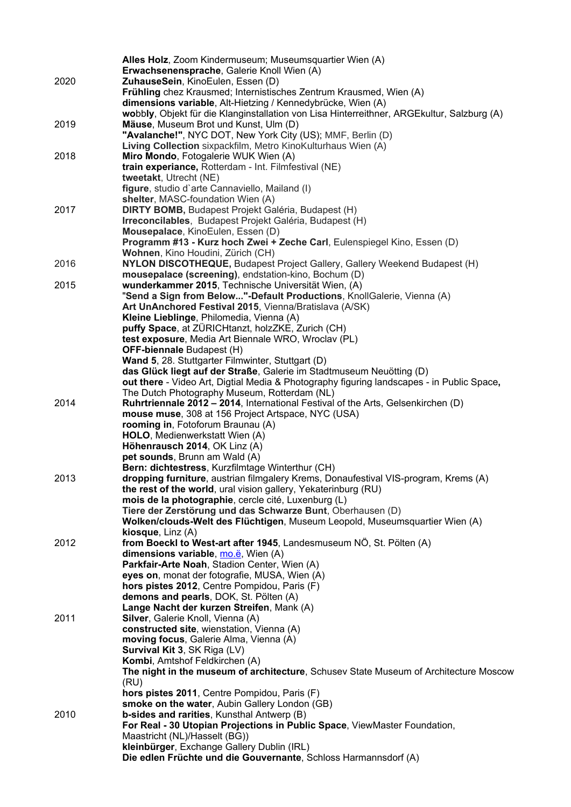|      | Alles Holz, Zoom Kindermuseum; Museumsquartier Wien (A)                                                                                 |
|------|-----------------------------------------------------------------------------------------------------------------------------------------|
|      | Erwachsenensprache, Galerie Knoll Wien (A)                                                                                              |
| 2020 | ZuhauseSein, KinoEulen, Essen (D)                                                                                                       |
|      | Frühling chez Krausmed; Internistisches Zentrum Krausmed, Wien (A)                                                                      |
|      | dimensions variable, Alt-Hietzing / Kennedybrücke, Wien (A)                                                                             |
|      | wobbly, Objekt für die Klanginstallation von Lisa Hinterreithner, ARGEkultur, Salzburg (A)                                              |
| 2019 | Mäuse, Museum Brot und Kunst, Ulm (D)                                                                                                   |
|      | "Avalanche!", NYC DOT, New York City (US); MMF, Berlin (D)                                                                              |
|      | Living Collection sixpackfilm, Metro KinoKulturhaus Wien (A)                                                                            |
| 2018 | Miro Mondo, Fotogalerie WUK Wien (A)<br>train experiance, Rotterdam - Int. Filmfestival (NE)                                            |
|      | tweetakt, Utrecht (NE)                                                                                                                  |
|      | figure, studio d'arte Cannaviello, Mailand (I)                                                                                          |
|      | shelter, MASC-foundation Wien (A)                                                                                                       |
| 2017 | <b>DIRTY BOMB, Budapest Projekt Galéria, Budapest (H)</b>                                                                               |
|      | Irreconcilables, Budapest Projekt Galéria, Budapest (H)                                                                                 |
|      | Mousepalace, KinoEulen, Essen (D)                                                                                                       |
|      | Programm #13 - Kurz hoch Zwei + Zeche Carl, Eulenspiegel Kino, Essen (D)                                                                |
|      | Wohnen, Kino Houdini, Zürich (CH)                                                                                                       |
| 2016 | NYLON DISCOTHEQUE, Budapest Project Gallery, Gallery Weekend Budapest (H)                                                               |
|      | mousepalace (screening), endstation-kino, Bochum (D)                                                                                    |
| 2015 | wunderkammer 2015, Technische Universität Wien, (A)                                                                                     |
|      | "Send a Sign from Below"-Default Productions, KnollGalerie, Vienna (A)                                                                  |
|      | Art UnAnchored Festival 2015, Vienna/Bratislava (A/SK)                                                                                  |
|      | Kleine Lieblinge, Philomedia, Vienna (A)<br>puffy Space, at ZÜRICHtanzt, holzZKE, Zurich (CH)                                           |
|      | test exposure, Media Art Biennale WRO, Wroclav (PL)                                                                                     |
|      | OFF-biennale Budapest (H)                                                                                                               |
|      | Wand 5, 28. Stuttgarter Filmwinter, Stuttgart (D)                                                                                       |
|      | das Glück liegt auf der Straße, Galerie im Stadtmuseum Neuötting (D)                                                                    |
|      | out there - Video Art, Digtial Media & Photography figuring landscapes - in Public Space,                                               |
|      | The Dutch Photography Museum, Rotterdam (NL)                                                                                            |
| 2014 | Ruhrtriennale 2012 - 2014, International Festival of the Arts, Gelsenkirchen (D)                                                        |
|      | mouse muse, 308 at 156 Project Artspace, NYC (USA)                                                                                      |
|      | rooming in, Fotoforum Braunau (A)                                                                                                       |
|      | HOLO, Medienwerkstatt Wien (A)                                                                                                          |
|      | Höhenrausch 2014, OK Linz (A)                                                                                                           |
|      | pet sounds, Brunn am Wald (A)                                                                                                           |
| 2013 | Bern: dichtestress, Kurzfilmtage Winterthur (CH)<br>dropping furniture, austrian filmgalery Krems, Donaufestival VIS-program, Krems (A) |
|      | the rest of the world, ural vision gallery, Yekaterinburg (RU)                                                                          |
|      | mois de la photographie, cercle cité, Luxenburg (L)                                                                                     |
|      | Tiere der Zerstörung und das Schwarze Bunt, Oberhausen (D)                                                                              |
|      | Wolken/clouds-Welt des Flüchtigen, Museum Leopold, Museumsquartier Wien (A)                                                             |
|      | kiosque, Linz (A)                                                                                                                       |
| 2012 | from Boeckl to West-art after 1945, Landesmuseum NÖ, St. Pölten (A)                                                                     |
|      | dimensions variable, mo.ë, Wien (A)                                                                                                     |
|      | Parkfair-Arte Noah, Stadion Center, Wien (A)                                                                                            |
|      | eyes on, monat der fotografie, MUSA, Wien (A)                                                                                           |
|      | hors pistes 2012, Centre Pompidou, Paris (F)                                                                                            |
|      | demons and pearls, DOK, St. Pölten (A)                                                                                                  |
| 2011 | Lange Nacht der kurzen Streifen, Mank (A)<br>Silver, Galerie Knoll, Vienna (A)                                                          |
|      | constructed site, wienstation, Vienna (A)                                                                                               |
|      | moving focus, Galerie Alma, Vienna (A)                                                                                                  |
|      | Survival Kit 3, SK Riga (LV)                                                                                                            |
|      | Kombi, Amtshof Feldkirchen (A)                                                                                                          |
|      | The night in the museum of architecture, Schusev State Museum of Architecture Moscow                                                    |
|      | (RU)                                                                                                                                    |
|      | hors pistes 2011, Centre Pompidou, Paris (F)                                                                                            |
|      | smoke on the water, Aubin Gallery London (GB)                                                                                           |
| 2010 | b-sides and rarities, Kunsthal Antwerp (B)                                                                                              |
|      | For Real - 30 Utopian Projections in Public Space, ViewMaster Foundation,                                                               |
|      | Maastricht (NL)/Hasselt (BG))                                                                                                           |
|      | kleinbürger, Exchange Gallery Dublin (IRL)<br>Die edlen Früchte und die Gouvernante, Schloss Harmannsdorf (A)                           |
|      |                                                                                                                                         |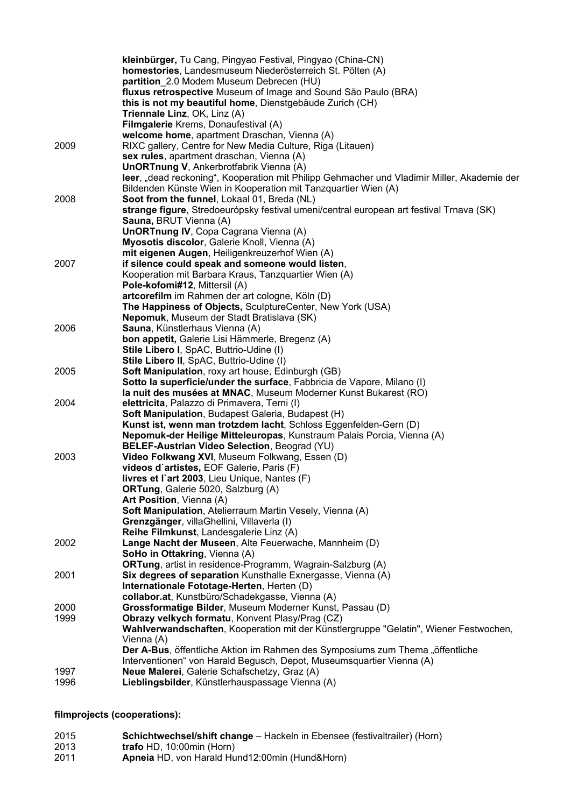|              | kleinbürger, Tu Cang, Pingyao Festival, Pingyao (China-CN)                                                            |
|--------------|-----------------------------------------------------------------------------------------------------------------------|
|              | homestories, Landesmuseum Niederösterreich St. Pölten (A)                                                             |
|              | partition 2.0 Modem Museum Debrecen (HU)                                                                              |
|              | fluxus retrospective Museum of Image and Sound São Paulo (BRA)                                                        |
|              | this is not my beautiful home, Dienstgebäude Zurich (CH)                                                              |
|              | Triennale Linz, OK, Linz (A)                                                                                          |
|              | Filmgalerie Krems, Donaufestival (A)<br>welcome home, apartment Draschan, Vienna (A)                                  |
| 2009         | RIXC gallery, Centre for New Media Culture, Riga (Litauen)                                                            |
|              | sex rules, apartment draschan, Vienna (A)                                                                             |
|              | UnORTnung V, Ankerbrotfabrik Vienna (A)                                                                               |
|              | leer, "dead reckoning", Kooperation mit Philipp Gehmacher und Vladimir Miller, Akademie der                           |
|              | Bildenden Künste Wien in Kooperation mit Tanzquartier Wien (A)                                                        |
| 2008         | Soot from the funnel, Lokaal 01, Breda (NL)                                                                           |
|              | strange figure, Stredoeurópsky festival umeni/central european art festival Trnava (SK)                               |
|              | Sauna, BRUT Vienna (A)                                                                                                |
|              | UnORTnung IV, Copa Cagrana Vienna (A)                                                                                 |
|              | Myosotis discolor, Galerie Knoll, Vienna (A)                                                                          |
|              | mit eigenen Augen, Heiligenkreuzerhof Wien (A)                                                                        |
| 2007         | if silence could speak and someone would listen,                                                                      |
|              | Kooperation mit Barbara Kraus, Tanzquartier Wien (A)<br>Pole-kofomi#12, Mittersil (A)                                 |
|              | artcorefilm im Rahmen der art cologne, Köln (D)                                                                       |
|              | The Happiness of Objects, SculptureCenter, New York (USA)                                                             |
|              | Nepomuk, Museum der Stadt Bratislava (SK)                                                                             |
| 2006         | Sauna, Künstlerhaus Vienna (A)                                                                                        |
|              | bon appetit, Galerie Lisi Hämmerle, Bregenz (A)                                                                       |
|              | Stile Libero I, SpAC, Buttrio-Udine (I)                                                                               |
|              | Stile Libero II, SpAC, Buttrio-Udine (I)                                                                              |
| 2005         | <b>Soft Manipulation, roxy art house, Edinburgh (GB)</b>                                                              |
|              | Sotto la superficie/under the surface, Fabbricia de Vapore, Milano (I)                                                |
|              | la nuit des musées at MNAC, Museum Moderner Kunst Bukarest (RO)                                                       |
| 2004         | elettricita, Palazzo di Primavera, Terni (I)<br>Soft Manipulation, Budapest Galeria, Budapest (H)                     |
|              | Kunst ist, wenn man trotzdem lacht, Schloss Eggenfelden-Gern (D)                                                      |
|              | Nepomuk-der Heilige Mitteleuropas, Kunstraum Palais Porcia, Vienna (A)                                                |
|              | BELEF-Austrian Video Selection, Beograd (YU)                                                                          |
| 2003         | Video Folkwang XVI, Museum Folkwang, Essen (D)                                                                        |
|              | videos d'artistes, EOF Galerie, Paris (F)                                                                             |
|              | livres et l'art 2003, Lieu Unique, Nantes (F)                                                                         |
|              | <b>ORTung, Galerie 5020, Salzburg (A)</b>                                                                             |
|              | Art Position, Vienna (A)                                                                                              |
|              | Soft Manipulation, Atelierraum Martin Vesely, Vienna (A)                                                              |
|              | Grenzgänger, villaGhellini, Villaverla (I)                                                                            |
|              | Reihe Filmkunst, Landesgalerie Linz (A)<br>Lange Nacht der Museen, Alte Feuerwache, Mannheim (D)                      |
| 2002         | SoHo in Ottakring, Vienna (A)                                                                                         |
|              | <b>ORTung</b> , artist in residence-Programm, Wagrain-Salzburg (A)                                                    |
| 2001         | Six degrees of separation Kunsthalle Exnergasse, Vienna (A)                                                           |
|              | Internationale Fototage-Herten, Herten (D)                                                                            |
|              | collabor.at, Kunstbüro/Schadekgasse, Vienna (A)                                                                       |
| 2000         | Grossformatige Bilder, Museum Moderner Kunst, Passau (D)                                                              |
| 1999         | Obrazy velkych formatu, Konvent Plasy/Prag (CZ)                                                                       |
|              | Wahlverwandschaften, Kooperation mit der Künstlergruppe "Gelatin", Wiener Festwochen,                                 |
|              | Vienna (A)                                                                                                            |
|              | Der A-Bus, öffentliche Aktion im Rahmen des Symposiums zum Thema "öffentliche                                         |
|              | Interventionen" von Harald Begusch, Depot, Museumsquartier Vienna (A)<br>Neue Malerei, Galerie Schafschetzy, Graz (A) |
| 1997<br>1996 | Lieblingsbilder, Künstlerhauspassage Vienna (A)                                                                       |
|              |                                                                                                                       |

**filmprojects (cooperations):**

| 2015 | <b>Schichtwechsel/shift change</b> – Hackeln in Ebensee (festivaltrailer) (Horn) |
|------|----------------------------------------------------------------------------------|
| 2013 | trafo HD, 10:00min (Horn)                                                        |
| 2011 | <b>Apneia</b> HD, von Harald Hund12:00min (Hund&Horn)                            |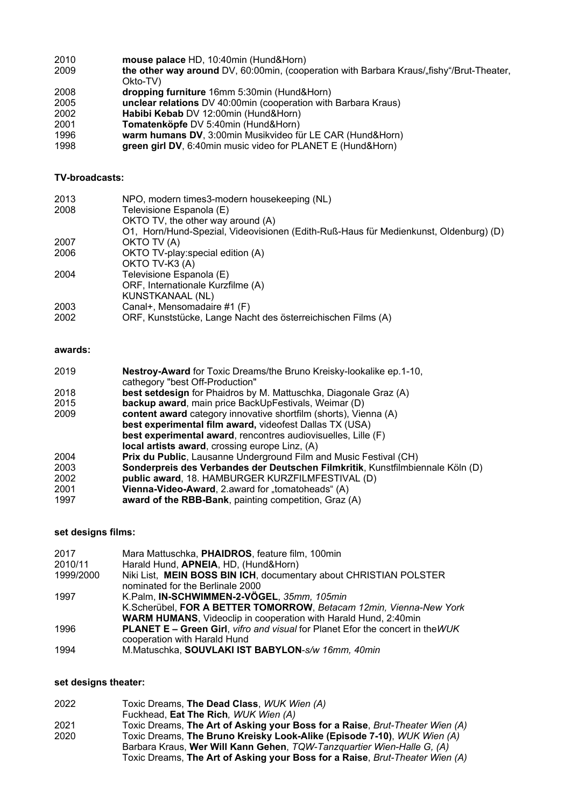**mouse palace** HD, 10:40min (Hund&Horn) the other way around DV, 60:00min, (cooperation with Barbara Kraus/"fishy"/Brut-Theater, Okto-TV) **dropping furniture** 16mm 5:30min (Hund&Horn) **unclear relations** DV 40:00min (cooperation with Barbara Kraus) **Habibi Kebab** DV 12:00min (Hund&Horn) **Tomatenköpfe** DV 5:40min (Hund&Horn) **warm humans DV**, 3:00min Musikvideo für LE CAR (Hund&Horn) **green girl DV**, 6:40min music video for PLANET E (Hund&Horn)

# **TV-broadcasts:**

| 2013 | NPO, modern times3-modern housekeeping (NL)                                          |
|------|--------------------------------------------------------------------------------------|
| 2008 | Televisione Espanola (E)                                                             |
|      | OKTO TV, the other way around (A)                                                    |
|      | O1, Horn/Hund-Spezial, Videovisionen (Edith-Ruß-Haus für Medienkunst, Oldenburg) (D) |
| 2007 | OKTO TV (A)                                                                          |
| 2006 | OKTO TV-play: special edition (A)                                                    |
|      | OKTO TV-K3 (A)                                                                       |
| 2004 | Televisione Espanola (E)                                                             |
|      | ORF, Internationale Kurzfilme (A)                                                    |
|      | KUNSTKANAAL (NL)                                                                     |
| 2003 | Canal+, Mensomadaire #1 (F)                                                          |
| 2002 | ORF, Kunststücke, Lange Nacht des österreichischen Films (A)                         |

# **awards:**

| 2019 | Nestroy-Award for Toxic Dreams/the Bruno Kreisky-lookalike ep.1-10,            |
|------|--------------------------------------------------------------------------------|
|      | cathegory "best Off-Production"                                                |
| 2018 | best setdesign for Phaidros by M. Mattuschka, Diagonale Graz (A)               |
| 2015 | <b>backup award</b> , main price BackUpFestivals, Weimar (D)                   |
| 2009 | <b>content award</b> category innovative shortfilm (shorts), Vienna (A)        |
|      | best experimental film award, videofest Dallas TX (USA)                        |
|      | best experimental award, rencontres audiovisuelles, Lille (F)                  |
|      | <b>local artists award, crossing europe Linz, (A)</b>                          |
| 2004 | Prix du Public, Lausanne Underground Film and Music Festival (CH)              |
| 2003 | Sonderpreis des Verbandes der Deutschen Filmkritik, Kunstfilmbiennale Köln (D) |
| 2002 | public award, 18. HAMBURGER KURZFILMFESTIVAL (D)                               |
| 2001 | Vienna-Video-Award, 2.award for "tomatoheads" (A)                              |
| 1997 | award of the RBB-Bank, painting competition, Graz (A)                          |

## **set designs films:**

| 2017      | Mara Mattuschka, PHAIDROS, feature film, 100min                                       |
|-----------|---------------------------------------------------------------------------------------|
| 2010/11   | Harald Hund, APNEIA, HD, (Hund&Horn)                                                  |
| 1999/2000 | Niki List, MEIN BOSS BIN ICH, documentary about CHRISTIAN POLSTER                     |
|           | nominated for the Berlinale 2000                                                      |
| 1997      | K.Palm, IN-SCHWIMMEN-2-VÖGEL, 35mm, 105min                                            |
|           | K.Scherübel, FOR A BETTER TOMORROW, Betacam 12min, Vienna-New York                    |
|           | <b>WARM HUMANS, Videoclip in cooperation with Harald Hund, 2:40min</b>                |
| 1996      | <b>PLANET E – Green Girl, vifro and visual for Planet Efor the concert in the WUK</b> |
|           | cooperation with Harald Hund                                                          |
| 1994      | M.Matuschka, SOUVLAKI IST BABYLON-S/w 16mm, 40min                                     |

## **set designs theater:**

| 2022 | Toxic Dreams, The Dead Class, WUK Wien (A)                                   |
|------|------------------------------------------------------------------------------|
|      | Fuckhead, Eat The Rich, WUK Wien (A)                                         |
| 2021 | Toxic Dreams, The Art of Asking your Boss for a Raise, Brut-Theater Wien (A) |
| 2020 | Toxic Dreams, The Bruno Kreisky Look-Alike (Episode 7-10), WUK Wien (A)      |
|      | Barbara Kraus, Wer Will Kann Gehen, TQW-Tanzquartier Wien-Halle G, (A)       |
|      | Toxic Dreams, The Art of Asking your Boss for a Raise, Brut-Theater Wien (A) |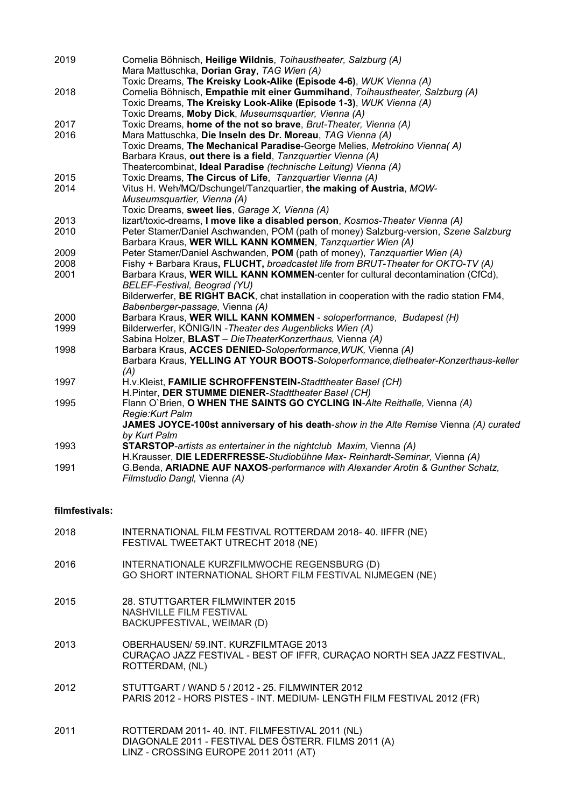| 2019           | Cornelia Böhnisch, Heilige Wildnis, Toihaustheater, Salzburg (A)<br>Mara Mattuschka, Dorian Gray, TAG Wien (A)                                      |
|----------------|-----------------------------------------------------------------------------------------------------------------------------------------------------|
|                | Toxic Dreams, The Kreisky Look-Alike (Episode 4-6), WUK Vienna (A)                                                                                  |
| 2018           | Cornelia Böhnisch, Empathie mit einer Gummihand, Toihaustheater, Salzburg (A)<br>Toxic Dreams, The Kreisky Look-Alike (Episode 1-3), WUK Vienna (A) |
|                | Toxic Dreams, Moby Dick, Museumsquartier, Vienna (A)                                                                                                |
| 2017           | Toxic Dreams, home of the not so brave, Brut-Theater, Vienna (A)                                                                                    |
| 2016           | Mara Mattuschka, Die Inseln des Dr. Moreau, TAG Vienna (A)<br>Toxic Dreams, The Mechanical Paradise-George Melies, Metrokino Vienna(A)              |
|                | Barbara Kraus, out there is a field, Tanzquartier Vienna (A)                                                                                        |
|                | Theatercombinat, Ideal Paradise (technische Leitung) Vienna (A)                                                                                     |
| 2015           | Toxic Dreams, The Circus of Life, Tanzquartier Vienna (A)                                                                                           |
| 2014           | Vitus H. Weh/MQ/Dschungel/Tanzquartier, the making of Austria, MQW-                                                                                 |
|                | Museumsquartier, Vienna (A)                                                                                                                         |
| 2013           | Toxic Dreams, sweet lies, Garage X, Vienna (A)<br>lizart/toxic-dreams, I move like a disabled person, Kosmos-Theater Vienna (A)                     |
| 2010           | Peter Stamer/Daniel Aschwanden, POM (path of money) Salzburg-version, Szene Salzburg                                                                |
|                | Barbara Kraus, WER WILL KANN KOMMEN, Tanzquartier Wien (A)                                                                                          |
| 2009           | Peter Stamer/Daniel Aschwanden, POM (path of money), Tanzquartier Wien (A)                                                                          |
| 2008           | Fishy + Barbara Kraus, FLUCHT, broadcastet life from BRUT-Theater for OKTO-TV (A)                                                                   |
| 2001           | Barbara Kraus, WER WILL KANN KOMMEN-center for cultural decontamination (CfCd),<br>BELEF-Festival, Beograd (YU)                                     |
|                | Bilderwerfer, BE RIGHT BACK, chat installation in cooperation with the radio station FM4,                                                           |
|                | Babenberger-passage, Vienna (A)                                                                                                                     |
| 2000           | Barbara Kraus, WER WILL KANN KOMMEN - soloperformance, Budapest (H)                                                                                 |
| 1999           | Bilderwerfer, KÖNIG/IN - Theater des Augenblicks Wien (A)                                                                                           |
|                | Sabina Holzer, <b>BLAST</b> - DieTheaterKonzerthaus, Vienna (A)                                                                                     |
| 1998           | Barbara Kraus, ACCES DENIED-Soloperformance, WUK, Vienna (A)<br>Barbara Kraus, YELLING AT YOUR BOOTS-Soloperformance, dietheater-Konzerthaus-keller |
|                | (A)                                                                                                                                                 |
| 1997           | H.v.Kleist, FAMILIE SCHROFFENSTEIN-Stadttheater Basel (CH)                                                                                          |
|                | H.Pinter, DER STUMME DIENER-Stadttheater Basel (CH)                                                                                                 |
| 1995           | Flann O'Brien, O WHEN THE SAINTS GO CYCLING IN-Alte Reithalle, Vienna (A)                                                                           |
|                | Regie: Kurt Palm<br>JAMES JOYCE-100st anniversary of his death-show in the Alte Remise Vienna (A) curated                                           |
|                | by Kurt Palm                                                                                                                                        |
| 1993           | <b>STARSTOP-artists as entertainer in the nightclub Maxim, Vienna (A)</b>                                                                           |
|                | H.Krausser, DIE LEDERFRESSE-Studiobühne Max- Reinhardt-Seminar, Vienna (A)                                                                          |
| 1991           | G.Benda, ARIADNE AUF NAXOS-performance with Alexander Arotin & Gunther Schatz,                                                                      |
|                | Filmstudio Dangl, Vienna (A)                                                                                                                        |
| filmfestivals: |                                                                                                                                                     |
|                |                                                                                                                                                     |
| 2018           | INTERNATIONAL FILM FESTIVAL ROTTERDAM 2018-40. IIFFR (NE)<br>FESTIVAL TWEETAKT UTRECHT 2018 (NE)                                                    |
|                |                                                                                                                                                     |
| 2016           | INTERNATIONALE KURZFILMWOCHE REGENSBURG (D)<br>GO SHORT INTERNATIONAL SHORT FILM FESTIVAL NIJMEGEN (NE)                                             |
|                |                                                                                                                                                     |
| 2015           | 28 STUTTGARTER FILMWINTER 2015                                                                                                                      |

- 2015 28. STUTTGARTER FILMWINTER 2015 NASHVILLE FILM FESTIVAL BACKUPFESTIVAL, WEIMAR (D)
- 2013 OBERHAUSEN/ 59.INT. KURZFILMTAGE 2013 CURAÇAO JAZZ FESTIVAL - BEST OF IFFR, CURAÇAO NORTH SEA JAZZ FESTIVAL, ROTTERDAM, (NL)
- 2012 STUTTGART / WAND 5 / 2012 25. FILMWINTER 2012 PARIS 2012 - HORS PISTES - INT. MEDIUM- LENGTH FILM FESTIVAL 2012 (FR)
- 2011 ROTTERDAM 2011- 40. INT. FILMFESTIVAL 2011 (NL) DIAGONALE 2011 - FESTIVAL DES ÖSTERR. FILMS 2011 (A) LINZ - CROSSING EUROPE 2011 2011 (AT)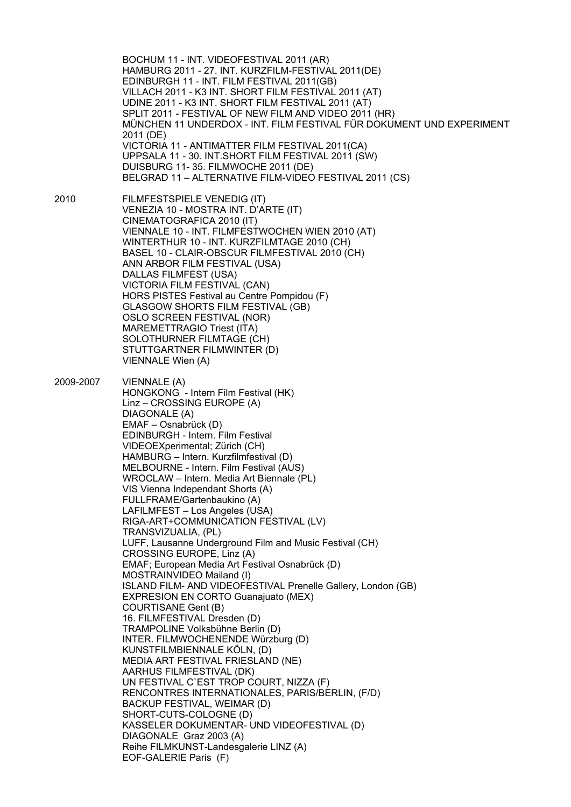BOCHUM 11 - INT. VIDEOFESTIVAL 2011 (AR) HAMBURG 2011 - 27. INT. KURZFILM-FESTIVAL 2011(DE) EDINBURGH 11 - INT. FILM FESTIVAL 2011(GB) VILLACH 2011 - K3 INT. SHORT FILM FESTIVAL 2011 (AT) UDINE 2011 - K3 INT. SHORT FILM FESTIVAL 2011 (AT) SPLIT 2011 - FESTIVAL OF NEW FILM AND VIDEO 2011 (HR) MÜNCHEN 11 UNDERDOX - INT. FILM FESTIVAL FÜR DOKUMENT UND EXPERIMENT 2011 (DE) VICTORIA 11 - ANTIMATTER FILM FESTIVAL 2011(CA) UPPSALA 11 - 30. INT.SHORT FILM FESTIVAL 2011 (SW) DUISBURG 11- 35. FILMWOCHE 2011 (DE) BELGRAD 11 – ALTERNATIVE FILM-VIDEO FESTIVAL 2011 (CS) 2010 FILMFESTSPIELE VENEDIG (IT) VENEZIA 10 - MOSTRA INT. D'ARTE (IT)

CINEMATOGRAFICA 2010 (IT) VIENNALE 10 - INT. FILMFESTWOCHEN WIEN 2010 (AT) WINTERTHUR 10 - INT. KURZFILMTAGE 2010 (CH) BASEL 10 - CLAIR-OBSCUR FILMFESTIVAL 2010 (CH) ANN ARBOR FILM FESTIVAL (USA) DALLAS FILMFEST (USA) VICTORIA FILM FESTIVAL (CAN) HORS PISTES Festival au Centre Pompidou (F) GLASGOW SHORTS FILM FESTIVAL (GB) OSLO SCREEN FESTIVAL (NOR) MAREMETTRAGIO Triest (ITA) SOLOTHURNER FILMTAGE (CH) STUTTGARTNER FILMWINTER (D) VIENNALE Wien (A)

2009-2007 VIENNALE (A) HONGKONG - Intern Film Festival (HK) Linz – CROSSING EUROPE (A) DIAGONALE (A) EMAF – Osnabrück (D) EDINBURGH - Intern. Film Festival VIDEOEXperimental; Zürich (CH) HAMBURG – Intern. Kurzfilmfestival (D) MELBOURNE - Intern. Film Festival (AUS) WROCLAW – Intern. Media Art Biennale (PL) VIS Vienna Independant Shorts (A) FULLFRAME/Gartenbaukino (A) LAFILMFEST – Los Angeles (USA) RIGA-ART+COMMUNICATION FESTIVAL (LV) TRANSVIZUALIA, (PL) LUFF, Lausanne Underground Film and Music Festival (CH) CROSSING EUROPE, Linz (A) EMAF; European Media Art Festival Osnabrück (D) MOSTRAINVIDEO Mailand (I) ISLAND FILM- AND VIDEOFESTIVAL Prenelle Gallery, London (GB) EXPRESION EN CORTO Guanajuato (MEX) COURTISANE Gent (B) 16. FILMFESTIVAL Dresden (D) TRAMPOLINE Volksbühne Berlin (D) INTER. FILMWOCHENENDE Würzburg (D) KUNSTFILMBIENNALE KÖLN, (D) MEDIA ART FESTIVAL FRIESLAND (NE) AARHUS FILMFESTIVAL (DK) UN FESTIVAL C`EST TROP COURT, NIZZA (F) RENCONTRES INTERNATIONALES, PARIS/BERLIN, (F/D) BACKUP FESTIVAL, WEIMAR (D) SHORT-CUTS-COLOGNE (D) KASSELER DOKUMENTAR- UND VIDEOFESTIVAL (D) DIAGONALE Graz 2003 (A) Reihe FILMKUNST-Landesgalerie LINZ (A) EOF-GALERIE Paris (F)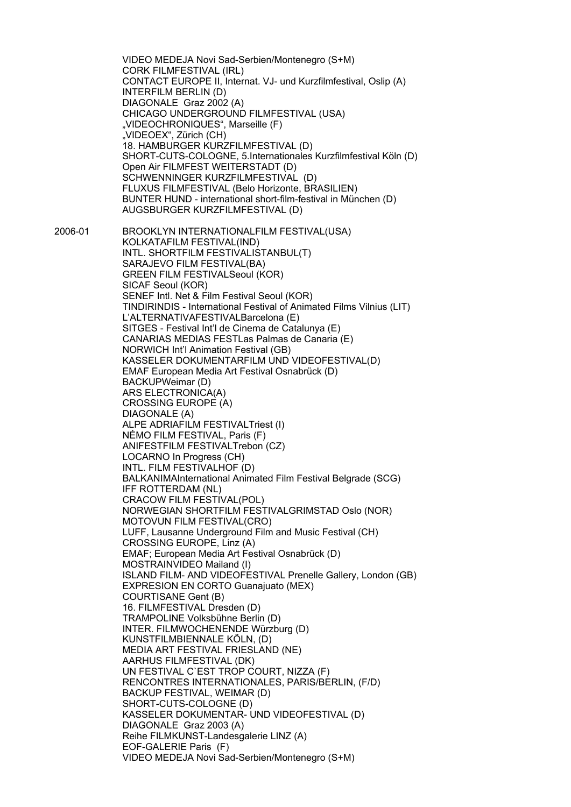VIDEO MEDEJA Novi Sad-Serbien/Montenegro (S+M) CORK FILMFESTIVAL (IRL) CONTACT EUROPE II, Internat. VJ- und Kurzfilmfestival, Oslip (A) INTERFILM BERLIN (D) DIAGONALE Graz 2002 (A) CHICAGO UNDERGROUND FILMFESTIVAL (USA) "VIDEOCHRONIQUES", Marseille (F) "VIDEOEX", Zürich (CH) 18. HAMBURGER KURZFILMFESTIVAL (D) SHORT-CUTS-COLOGNE, 5.Internationales Kurzfilmfestival Köln (D) Open Air FILMFEST WEITERSTADT (D) SCHWENNINGER KURZFILMFESTIVAL (D) FLUXUS FILMFESTIVAL (Belo Horizonte, BRASILIEN) BUNTER HUND - international short-film-festival in München (D) AUGSBURGER KURZFILMFESTIVAL (D) 2006-01 BROOKLYN INTERNATIONALFILM FESTIVAL(USA) KOLKATAFILM FESTIVAL(IND) INTL. SHORTFILM FESTIVALISTANBUL(T) SARAJEVO FILM FESTIVAL(BA) GREEN FILM FESTIVALSeoul (KOR) SICAF Seoul (KOR) SENEF Intl. Net & Film Festival Seoul (KOR) TINDIRINDIS - International Festival of Animated Films Vilnius (LIT) L'ALTERNATIVAFESTIVALBarcelona (E) SITGES - Festival Int'l de Cinema de Catalunya (E) CANARIAS MEDIAS FESTLas Palmas de Canaria (E) NORWICH Int'l Animation Festival (GB) KASSELER DOKUMENTARFILM UND VIDEOFESTIVAL(D) EMAF European Media Art Festival Osnabrück (D) BACKUPWeimar (D) ARS ELECTRONICA(A) CROSSING EUROPE (A) DIAGONALE (A) ALPE ADRIAFILM FESTIVALTriest (I) NÉMO FILM FESTIVAL, Paris (F) ANIFESTFILM FESTIVALTrebon (CZ) LOCARNO In Progress (CH) INTL. FILM FESTIVALHOF (D) BALKANIMAInternational Animated Film Festival Belgrade (SCG) IFF ROTTERDAM (NL) CRACOW FILM FESTIVAL(POL) NORWEGIAN SHORTFILM FESTIVALGRIMSTAD Oslo (NOR) MOTOVUN FILM FESTIVAL(CRO) LUFF, Lausanne Underground Film and Music Festival (CH) CROSSING EUROPE, Linz (A) EMAF; European Media Art Festival Osnabrück (D) MOSTRAINVIDEO Mailand (I) ISLAND FILM- AND VIDEOFESTIVAL Prenelle Gallery, London (GB) EXPRESION EN CORTO Guanajuato (MEX) COURTISANE Gent (B) 16. FILMFESTIVAL Dresden (D) TRAMPOLINE Volksbühne Berlin (D) INTER. FILMWOCHENENDE Würzburg (D) KUNSTFILMBIENNALE KÖLN, (D) MEDIA ART FESTIVAL FRIESLAND (NE) AARHUS FILMFESTIVAL (DK) UN FESTIVAL C`EST TROP COURT, NIZZA (F) RENCONTRES INTERNATIONALES, PARIS/BERLIN, (F/D) BACKUP FESTIVAL, WEIMAR (D) SHORT-CUTS-COLOGNE (D) KASSELER DOKUMENTAR- UND VIDEOFESTIVAL (D) DIAGONALE Graz 2003 (A) Reihe FILMKUNST-Landesgalerie LINZ (A) EOF-GALERIE Paris (F) VIDEO MEDEJA Novi Sad-Serbien/Montenegro (S+M)